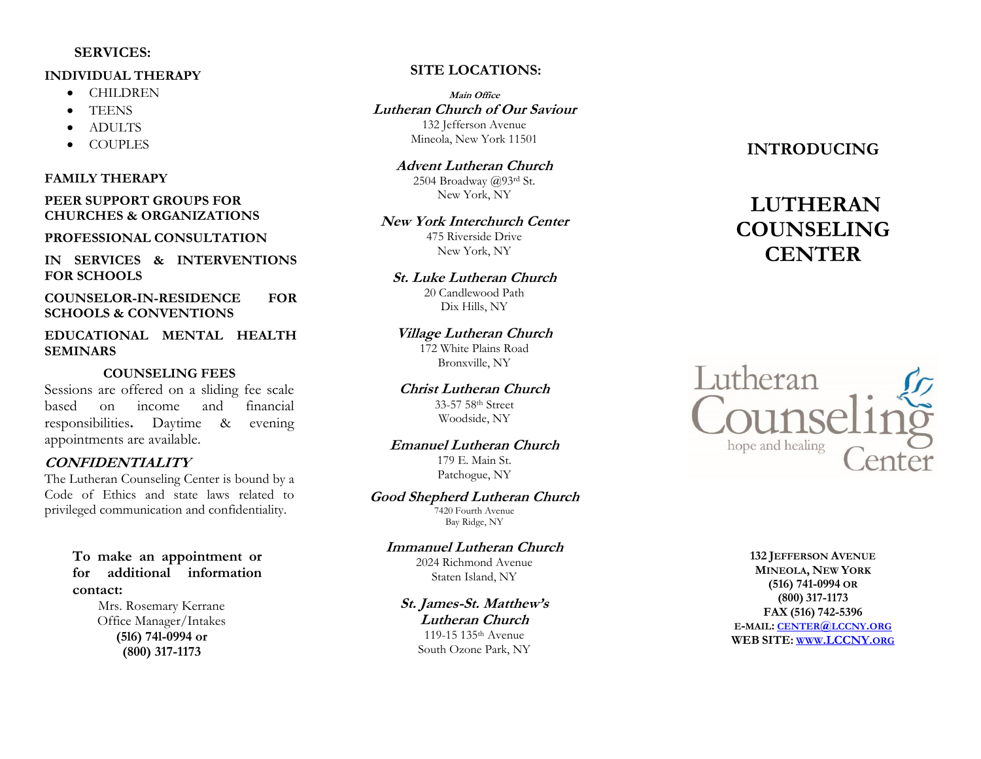#### **SERVICES :**

#### **INDIVIDUAL THERAPY**

- CHILDREN
- TEENS
- ADULTS
- **COUPLES**

#### **FAMILY THERAPY**

**PEER SUPPORT GROUPS FOR CHURCHES & ORGANIZATIONS**

#### **PROFESSIONAL CONSULTATION**

**IN SERVICES & INTERVENTIONS FOR SCHOOLS**

**COUNSELOR -IN -RESIDENCE FOR SCHOOLS & CONVENTIONS**

**EDUCATIONAL MENTAL HEALTH SEMINARS**

#### **COUNSELING FEES**

Sessions are offered on a sliding fee scale based on income and financial responsibilities **.** Daytime & evening appointments are available.

#### **CONFIDENTIALITY**

The Lutheran Counseling Center is bound by a Code of Ethics and state laws related to privileged communication and confidentiality.

> **To make an appointment or for additional information contact:**

> > Mrs. Rosemary Kerrane Office Manager/Intakes **(5l6) 74l -0994 or (800) 317 -1173**

#### **SITE LOCATIONS :**

**Main Office Lutheran Church of Our Saviour** 132 Jefferson Avenue Mineola, New York 11501

**Advent Lutheran Church** 2504 Broadway @93rd St. New York, NY

**New York Interchurch Center** 475 Riverside Drive New York, NY

**St. Luke Lutheran Church**

20 Candlewood Path Dix Hills, NY

#### **Village Lutheran Church**

172 White Plains Road Bronxville, NY

**Christ Lutheran Church** 33 -57 58th Street Woodside, NY

## **Emanuel Lutheran Church**

179 E. Main St. Patchogue, NY

#### **Good Shepherd Lutheran Church**

.<br>7420 Fourth Avenue Bay Ridge, NY

#### **Immanuel Lutheran Church**

2024 Richmond Avenue Staten Island, NY

**St. James-St. Matthew's Lutheran Church** 119 -15 135th Avenue South Ozone Park, NY

### **INTRODUCING**

# **LUTHERAN COUNSELING CENTER**



**132 JEFFERSON AVENUE MINEOLA , NEW YORK (516) 741 -0994 OR (800) 317 - 1173 FAX (516) 742 -5396 E -MAIL : CENTER @LCCNY .ORG WEB SITE: WWW[.LCCNY.](http://www.lccny.org/)ORG**